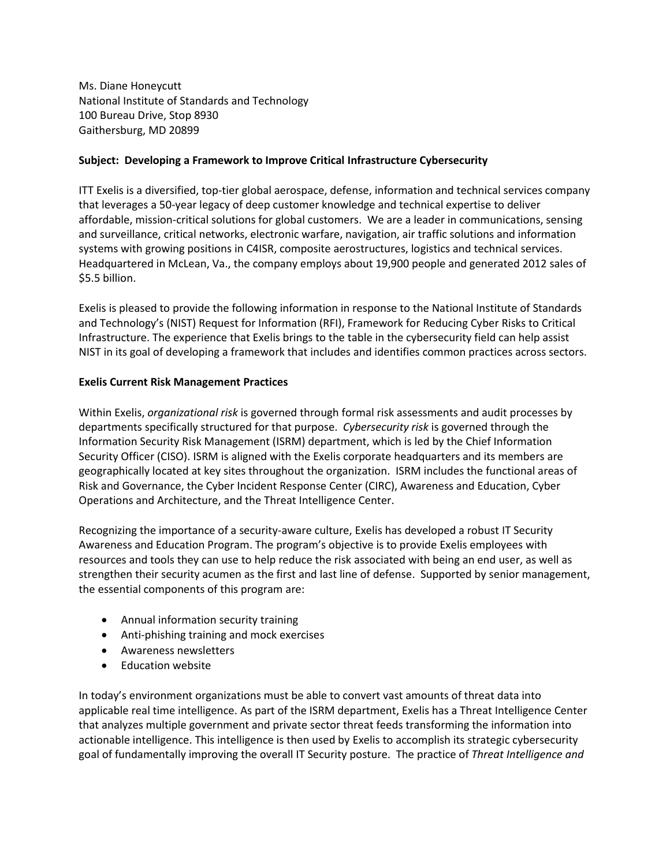Ms. Diane Honeycutt National Institute of Standards and Technology 100 Bureau Drive, Stop 8930 Gaithersburg, MD 20899

## **Subject: Developing a Framework to Improve Critical Infrastructure Cybersecurity**

ITT Exelis is a diversified, top-tier global aerospace, defense, information and technical services company that leverages a 50-year legacy of deep customer knowledge and technical expertise to deliver affordable, mission-critical solutions for global customers. We are a leader in communications, sensing and surveillance, critical networks, electronic warfare, navigation, air traffic solutions and information systems with growing positions in C4ISR, composite aerostructures, logistics and technical services. Headquartered in McLean, Va., the company employs about 19,900 people and generated 2012 sales of \$5.5 billion.

Exelis is pleased to provide the following information in response to the National Institute of Standards and Technology's (NIST) Request for Information (RFI), Framework for Reducing Cyber Risks to Critical Infrastructure. The experience that Exelis brings to the table in the cybersecurity field can help assist NIST in its goal of developing a framework that includes and identifies common practices across sectors.

## **Exelis Current Risk Management Practices**

Within Exelis, *organizational risk* is governed through formal risk assessments and audit processes by departments specifically structured for that purpose. *Cybersecurity risk* is governed through the Information Security Risk Management (ISRM) department, which is led by the Chief Information Security Officer (CISO). ISRM is aligned with the Exelis corporate headquarters and its members are geographically located at key sites throughout the organization. ISRM includes the functional areas of Risk and Governance, the Cyber Incident Response Center (CIRC), Awareness and Education, Cyber Operations and Architecture, and the Threat Intelligence Center.

Recognizing the importance of a security-aware culture, Exelis has developed a robust IT Security Awareness and Education Program. The program's objective is to provide Exelis employees with resources and tools they can use to help reduce the risk associated with being an end user, as well as strengthen their security acumen as the first and last line of defense. Supported by senior management, the essential components of this program are:

- Annual information security training
- Anti-phishing training and mock exercises
- Awareness newsletters
- Education website

In today's environment organizations must be able to convert vast amounts of threat data into applicable real time intelligence. As part of the ISRM department, Exelis has a Threat Intelligence Center that analyzes multiple government and private sector threat feeds transforming the information into actionable intelligence. This intelligence is then used by Exelis to accomplish its strategic cybersecurity goal of fundamentally improving the overall IT Security posture. The practice of *Threat Intelligence and*